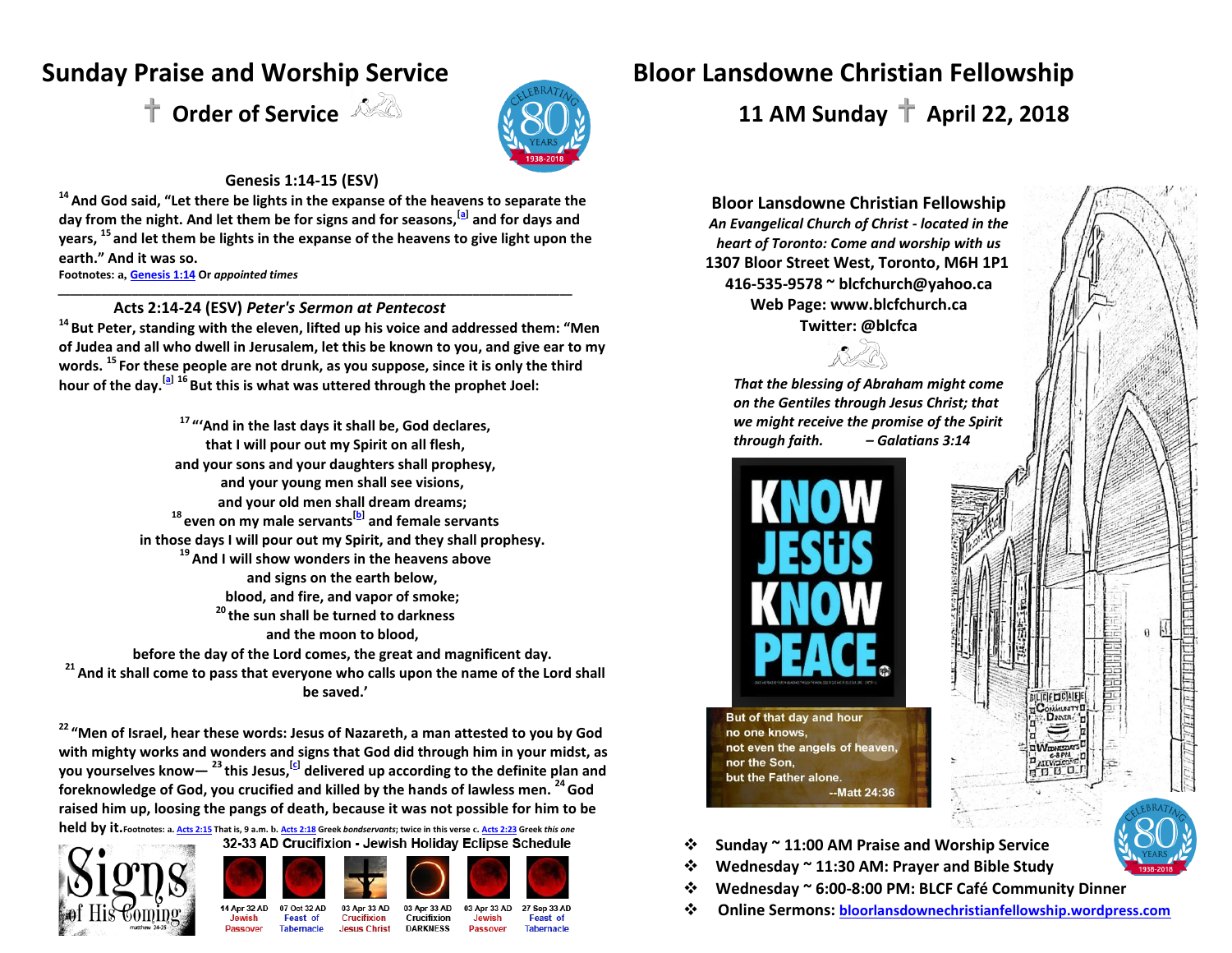

#### **Genesis 1:14-15 (ESV)**

**<sup>14</sup> And God said, "Let there be lights in the expanse of the heavens to separate the day from the night. And let them be for signs and for seasons,[\[a\]](http://www.biblegateway.com/passage/?search=genesis+1%3A14-15&version=ESV#fen-ESV-14a) and for days and years, <sup>15</sup> and let them be lights in the expanse of the heavens to give light upon the earth." And it was so.** 

*\_\_\_\_\_\_\_\_\_\_\_\_\_\_\_\_\_\_\_\_\_\_\_\_\_\_\_\_\_\_\_\_\_\_\_\_\_\_\_\_\_\_\_\_\_\_\_\_\_\_\_\_\_\_\_\_\_\_\_\_\_\_\_\_\_\_\_\_\_\_\_\_\_\_\_\_\_\_\_\_\_\_\_* 

**Footnotes: a, [Genesis 1:14](http://www.biblegateway.com/passage/?search=genesis+1%3A14-15&version=ESV#en-ESV-14) Or** *appointed times* 

#### **. Acts 2:14-24 (ESV)** *Peter's Sermon at Pentecost*

**<sup>14</sup>But Peter, standing with the eleven, lifted up his voice and addressed them: "Men of Judea and all who dwell in Jerusalem, let this be known to you, and give ear to my words. <sup>15</sup> For these people are not drunk, as you suppose, since it is only the third hour of the day.[\[a\]](http://www.biblegateway.com/passage/?search=acts+2%3A14-24&version=ESV#fen-ESV-26953a) <sup>16</sup>But this is what was uttered through the prophet Joel:**

**<sup>17</sup> "'And in the last days it shall be, God declares, that I will pour out my Spirit on all flesh, and your sons and your daughters shall prophesy, and your young men shall see visions, and your old men shall dream dreams; <sup>18</sup> even on my male servants[\[b\]](http://www.biblegateway.com/passage/?search=acts+2%3A14-24&version=ESV#fen-ESV-26956b) and female servants in those days I will pour out my Spirit, and they shall prophesy. <sup>19</sup> And I will show wonders in the heavens above and signs on the earth below, blood, and fire, and vapor of smoke; <sup>20</sup> the sun shall be turned to darkness and the moon to blood, before the day of the Lord comes, the great and magnificent day. <sup>21</sup> And it shall come to pass that everyone who calls upon the name of the Lord shall** 

**be saved.'** 

**<sup>22</sup> "Men of Israel, hear these words: Jesus of Nazareth, a man attested to you by God with mighty works and wonders and signs that God did through him in your midst, as you yourselves know— <sup>23</sup> this Jesus,[\[c\]](http://www.biblegateway.com/passage/?search=acts+2%3A14-24&version=ESV#fen-ESV-26961c) delivered up according to the definite plan and foreknowledge of God, you crucified and killed by the hands of lawless men. <sup>24</sup>God raised him up, loosing the pangs of death, because it was not possible for him to be** 

held by it. Footnotes: a. <u>[Acts 2:15](http://www.biblegateway.com/passage/?search=acts+2%3A14-24&version=ESV#en-ESV-26953)</u> That is, 9 a.m. b. <u>[Acts 2:18](http://www.biblegateway.com/passage/?search=acts+2%3A14-24&version=ESV#en-ESV-26956)</u> Greek *bondservants;* twice in this verse c. <u>[Acts 2:23](http://www.biblegateway.com/passage/?search=acts+2%3A14-24&version=ESV#en-ESV-26961)</u> Greek *this one*<br>32-33 AD Crucifixion - Jewish Holiday Eclipse Schedule



07 Oct 32 AD

Feast of

Tahernacle

14 Apr 32 AD

Daeenvor



Crucifixion

**Jesus Christ** 



03 Apr 33 AD 03 Apr 33 AD 27 Sep 33 AD Crucifixion Jewish **Feast of DARKNESS Passover Tabernacle** 

## **Sunday Praise and Worship Service Bloor Lansdowne Christian Fellowship**

 $\uparrow$  Order of Service  $\sqrt{2}$   $\sqrt{2}$   $\sqrt{2}$   $\sqrt{11}$  AM Sunday  $\uparrow$  April 22, 2018

**Bloor Lansdowne Christian Fellowship** *An Evangelical Church of Christ - located in the heart of Toronto: Come and worship with us* **1307 Bloor Street West, Toronto, M6H 1P1 416-535-9578 ~ [blcfchurch@yahoo.ca](mailto:blcfchurch@yahoo.ca) Web Page[: www.blcfchurch.ca](http://www.blcfchurch.ca/) Twitter: @blcfca**

*That the blessing of Abraham might come on the Gentiles through Jesus Christ; that we might receive the promise of the Spirit through faith. – Galatians 3:14*



But of that day and hour no one knows, not even the angels of heaven, nor the Son. but the Father alone. --Matt 24:36

**BILICIFIZICIALEIE ONMURATY** 

 $D<sub>2</sub>$ and

- **Sunday ~ 11:00 AM Praise and Worship Service**
- ! **Wednesday ~ 11:30 AM: Prayer and Bible Study**
- **Wednesday ~ 6:00-8:00 PM: BLCF Café Community Dinner**
- **Online Sermons: [bloorlansdownechristianfellowship.wordpress.com](http://www.bloorlansdownechristianfellowship.wordpress.com/)**